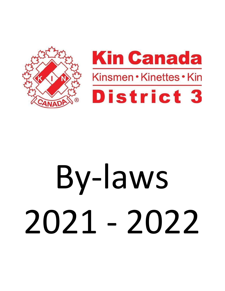



# By-laws 2021 - 2022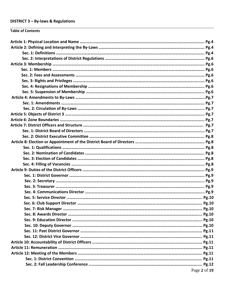# **DISTRICT 3 – By-laws & Regulations**

# **Table of Contents**

| Page 2 of 19 |
|--------------|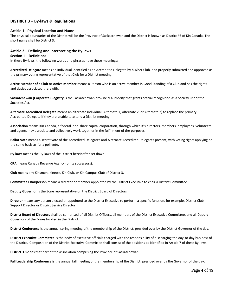# **DISTRICT 3 – By-laws & Regulations**

#### **Article 1 - Physical Location and Name**

The physical boundaries of the District will be the Province of Saskatchewan and the District is known as District #3 of Kin Canada. The short name shall be District 3.

#### **Article 2 – Defining and Interpreting the By-laws**

#### **Section 1 – Definitions**

In these By-laws, the following words and phrases have these meanings:

**Accredited Delegate** means an individual identified as an Accredited Delegate by his/her Club, and properly submitted and approved as the primary voting representative of that Club for a District meeting.

**Active Member of a Club** or **Active Member** means a Person who is an active member in Good Standing of a Club and has the rights and duties associated therewith.

**Saskatchewan (Corporate) Registry** is the Saskatchewan provincial authority that grants official recognition as a Society under the Societies Act.

**Alternate Accredited Delegate** means an alternate individual (Alternate 1, Alternate 2, or Alternate 3) to replace the primary Accredited Delegate if they are unable to attend a District meeting.

**Association** means Kin Canada, a federal, non-share capital corporation, through which it's directors, members, employees, volunteers and agents may associate and collectively work together in the fulfillment of the purposes.

**Ballot Vote** means a secret vote of the Accredited Delegates and Alternate Accredited Delegates present, with voting rights applying on the same basis as for a poll vote.

**By-laws** means the By-laws of the District hereinafter set down.

**CRA** means Canada Revenue Agency (or its successors).

**Club** means any Kinsmen, Kinette, Kin Club, or Kin Campus Club of District 3.

**Committee Chairperson** means a director or member appointed by the District Executive to chair a District Committee.

**Deputy Governor** is the Zone representative on the District Board of Directors

**Director** means any person elected or appointed to the District Executive to perform a specific function, for example, District Club Support Director or District Service Director.

**District Board of Directors** shall be comprised of all District Officers, all members of the District Executive Committee, and all Deputy Governors of the Zones located in the District.

**District Conference** is the annual spring meeting of the membership of the District, presided over by the District Governor of the day.

**District Executive Committee** is the body of executive officials charged with the responsibility of discharging the day-to-day business of the District. Composition of the District Executive Committee shall consist of the positions as identified in Article 7 of these By-laws.

**District 3** means that part of the association comprising the Province of Saskatchewan.

**Fall Leadership Conference** is the annual fall meeting of the membership of the District, presided over by the Governor of the day.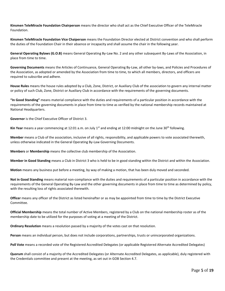**Kinsmen TeleMiracle Foundation Chairperson** means the director who shall act as the Chief Executive Officer of the TeleMiracle Foundation.

**Kinsmen TeleMiracle Foundation Vice Chaiperson** means the Foundation Director elected at District convention and who shall perform the duties of the Foundation Chair in their absence or incapacity and shall assume the chair in the following year.

**General Operating Bylaws (G.O.B)** means General Operating By-Law No. 2 and any other subsequent By-Laws of the Association, in place from time to time.

**Governing Documents** means the Articles of Continuance, General Operating By-Law, all other by-laws, and Policies and Procedures of the Association, as adopted or amended by the Association from time to time, to which all members, directors, and officers are required to subscribe and adhere.

**House Rules** means the house rules adopted by a Club, Zone, District, or Auxiliary Club of the association to govern any internal matter or policy of such Club, Zone, District or Auxiliary Club in accordance with the requirements of the governing documents.

**"In Good Standing"** means material compliance with the duties and requirements of a particular position in accordance with the requirements of the governing documents in place from time to time as verified by the national membership records maintained at National Headquarters.

**Governor** is the Chief Executive Officer of District 3.

**Kin Year** means a year commencing at 12:01 a.m. on July 1<sup>st</sup> and ending at 12:00 midnight on the June 30<sup>th</sup> following.

**Member** means a Club of the association, inclusive of all rights, responsibility, and applicable powers to vote associated therewith, unless otherwise indicated in the General Operating By-Law Governing Documents.

**Members** or **Membership** means the collective club membership of the Association.

**Member in Good Standing** means a Club in District 3 who is held to be in good standing within the District and within the Association.

**Motion** means any business put before a meeting, by way of making a motion, that has been duly moved and seconded.

**Not in Good Standing** means material non-compliance with the duties and requirements of a particular position in accordance with the requirements of the General Operating By-Law and the other governing documents in place from time to time as determined by policy, with the resulting loss of rights associated therewith.

**Officer** means any officer of the District as listed hereinafter or as may be appointed from time to time by the District Executive Committee.

**Official Membership** means the total number of Active Members, registered by a Club on the national membership roster as of the membership date to be utilized for the purposes of voting at a meeting of the District.

**Ordinary Resolution** means a resolution passed by a majority of the votes cast on that resolution.

**Person** means an individual person, but does not include corporations, partnerships, trusts or unincorporated organizations.

**Poll Vote** means a recorded vote of the Registered Accredited Delegates (or applicable Registered Alternate Accredited Delegates)

**Quorum** shall consist of a majority of the Accredited Delegates (or Alternate Accredited Delegates, as applicable), duly registered with the Credentials committee and present at the meeting, as set out in GOB Section 4.7.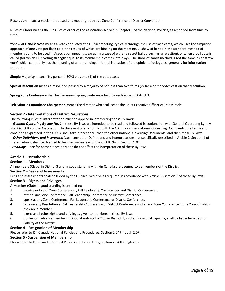**Resolution** means a motion proposed at a meeting, such as a Zone Conference or District Convention.

**Rules of Order** means the Kin rules of order of the association set out in Chapter 1 of the National Policies, as amended from time to time.

**"Show of Hands" Vote** means a vote conducted at a District meeting, typically through the use of flash cards, which uses the simplified approach of one vote per flash card, the results of which are binding on the meeting. A show of hands in the standard method of member voting to be used in Association meetings, except in a case of either a secret ballot (such as an election), or when a poll vote is called (for which Club voting strength equal to its membership comes into play). The show of hands method is not the same as a "straw vote" which commonly has the meaning of a non-binding, informal indication of the opinion of delegates, generally for information purposes.

**Simple Majority** means fifty percent (50%) plus one (1) of the votes cast.

**Special Resolution** means a resolution passed by a majority of not less than two thirds (2/3rds) of the votes cast on that resolution.

**Spring Zone Conference** shall be the annual spring conference held by each Zone in District 3.

**TeleMiracle Committee Chairperson** means the director who shall act as the Chief Executive Officer of TeleMiracle

# **Section 2 - Interpretations of District Regulations**

The following rules of interpretation must be applied in interpreting these By-laws:

*- General Operating By-law No. 2* – these By-laws are intended to be read and followed in conjunction with General Operating By-law No. 2 (G.O.B.) of the Association. In the event of any conflict with the G.O.B. or other national Governing Documents, the terms and conditions expressed in the G.O.B. shall take precedence, then the other national Governing Documents, and then these By-laws. *- Other Definitions and Interpretations* – any other Definitions and Interpretations not specifically described in Article 2, Section 1 of

these By-laws, shall be deemed to be in accordance with the G.O.B. No. 2, Section 1.01.

*- Headings* – are for convenience only and do not affect the interpretation of these By-laws.

#### **Article 3 – Membership**

#### **Section 1 – Members**

All members (Clubs) in District 3 and in good standing with Kin Canada are deemed to be members of the District.

#### **Section 2 – Fees and Assessments**

Fees and assessments shall be levied by the District Executive as required in accordance with Article 13 section 7 of these By-laws.

# **Section 3 – Rights and Privileges**

A Member (Club) in good standing is entitled to:

- 1. receive notice of Zone Conferences, Fall Leadership Conferences and District Conferences,
- 2. attend any Zone Conference, Fall Leadership Conference or District Conference,
- 3. speak at any Zone Conference, Fall Leadership Conference or District Conference,
- 4. vote on any Resolution at Fall Leadership Conference or District Conference and at any Zone Conference in the Zone of which they are a member.
- 5. exercise all other rights and privileges given to members in these By-laws.
- 6. no Person, who is a member in Good Standing of a Club in District 3, in their individual capacity, shall be liable for a debt or liability of the District.

#### **Section 4 – Resignation of Membership**

Please refer to Kin Canada National Policies and Procedures, Section 2.04 through 2.07.

#### **Section 5 - Suspension of Membership**

Please refer to Kin Canada National Policies and Procedures, Section 2.04 through 2.07.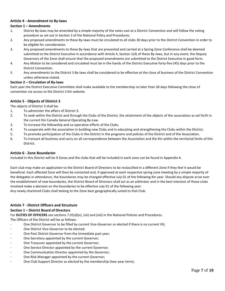# **Article 4 - Amendment to By-laws**

### **Section 1 – Amendments**

- 1. District By-laws may be amended by a simple majority of the votes cast at a District Convention and will follow the voting procedure as set out in Section 3 of the National Policy and Procedures.
- 2. Any proposed amendments to these By-laws must be circulated to all clubs 30 days prior to the District Convention in order to be eligible for consideration.
- 3. Any proposed amendments to these By-laws that are presented and carried at a Spring Zone Conference shall be deemed submitted to the District Executive in accordance with Article 4, Section 1(4) of these By-laws, but in any event, the Deputy Governors of the Zone shall ensure that the proposed amendments are submitted to the District Executive in good form.
- 4. Any Motion to be considered and circulated must be in the hands of the District Executive forty-five (45) days prior to the District Convention.
- 5. Any amendments to the District 3 By-laws shall be considered to be effective at the close of business of the District Convention unless otherwise stated.

#### **Section 2 – Circulation of By-laws**

Each year the District Executive Committee shall make available to the membership no later than 30 days following the close of convention via access to the District 3 Kin website.

# **Article 5 - Objects of District 3**

The objects of District 3 shall be:

- 1. To administer the affairs of District 3.
- 2. To seek within the District and through the Clubs of the District, the attainment of the objects of the association as set forth in the current Kin Canada General Operating By-Law.
- 3. To increase the fellowship and co-operative efforts of the Clubs.
- 4. To cooperate with the association in building new Clubs and in educating and strengthening the Clubs within the District.
- 5. To promote participation of the Clubs in the District in the programs and policies of the District and of the Association.
- 6. To transact all business and carry on all correspondence between the Association and the Kin within the territorial limits of this District.

#### **Article 6 - Zone Boundaries**

Included in this District will be 9 Zones and the clubs that will be included in each zone can be found in Appendix A.

Each club may make an application to the District Board of Directors to be reclassified in a different Zone if they feel it would be beneficial. Each affected Zone will then be contacted and, if approved at each respective spring zone meeting by a simple majority of the delegates in attendance, the boundaries may be changed effective July 01 of the following Kin year. Should any dispute arise over the establishment of new boundaries, the District Board of Directors shall act as an arbitrator and in the best interests of those clubs involved make a decision on the boundaries to be effective July 01 of the following year.

Any newly chartered Clubs shall belong to the Zone best geographically suited to that Club.

#### **Article 7 - District Officers and Structure**

#### **Section 1 – District Board of Directors**

For **DUTIES OF OFFICERS** see sections 7.01(d)(v), (vii) and (viii) in the National Policies and Procedures.

The Officers of the District will be as follows:

- One District Governor to be filled by current Vice-Governor or elected if there is no current VG;
- One District Vice-Governor to be elected;
- One Past District Governor from the immediate past year;
- One Secretary appointed by the current Governor;
- One Treasurer appointed by the current Governor;
- One Service Director appointed by the current Governor;
- One Communication Director appointed by the Governor;
- One Risk Manager appointed by the current Governor;
- One Club Support Director as elected by the membership (two-year term);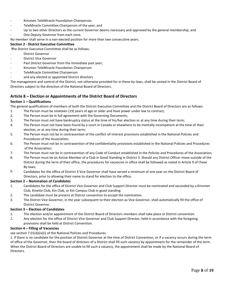- Kinsmen TeleMiracle Foundation Chairperson
- TeleMiracle Committee Chairperson of the year; and
- Up to two other Directors as the current Governor deems necessary and approved by the general membership; and
- One Deputy Governor from each zone.

No member shall serve in a non-elected position for more than two consecutive years.

#### **Section 2 - District Executive Committee**

**T**he District Executive Committee shall be as follows:

- District Governor
- District Vice Governor
- Past District Governor from the immediate past year;
- Kinsmen TeleMiracle Foundation Chairperson
- TeleMiracle Committee Chairperson
- and any elected or appointed District directors

The management and control of the District, not otherwise provided for in these by-laws, shall be vested in the District Board of Directors subject to the direction of the National Board of Directors.

# **Article 8 – Election or Appointments of the District Board of Directors**

#### **Section 1 – Qualifications**

The general qualifications of members of both the District Executive Committee and the District Board of Directors are as follows:

- 1. The Person must be nineteen (19) years of age or older and have power under law to contract;
- 2. The Person must be in full agreement with the Governing Documents;
- 3. The Person must not have bankruptcy status at the time of his/her election or at any time during their term;
- 4. The Person must not have been found by a court in Canada or elsewhere to be mentally incompetent at the time of their election, or at any time during their term;
- 5. The Person must not be in contravention of the conflict-of-interest provisions established in the National Policies and Procedures of the Association;
- 6. The Person must not be in contravention of the confidentiality provisions established in the National Policies and Procedures of the Association;
- 7. The Person must not be in contravention of any Code of Conduct established in the Policies and Procedures of the Association;
- 8. The Person must be an Active Member of a Club in Good Standing in District 3. Should any District Officer move outside of the District during the term of their office, the procedures for vacancies in office shall be followed as noted in Article 9 of these By-laws;
- 9. Candidates for the office of District 3 Vice Governor shall have served a minimum of one year on the District Board of Directors, prior to allowing their name to stand for election to the office.

#### **Section 2 – Nomination of Candidates**

- 1. Candidates for the office of District Vice Governor and Club Support Director must be nominated and seconded by a Kinsmen Club, Kinette Club, Kin Club, or Kin Campus Club in good standing.
- 2. The candidate must be present at District convention to accept the nomination.
- 3. The District Vice Governor, in the year subsequent to their election as Vice Governor, shall automatically fill the office of District Governor.

#### **Section 3 – Election of Candidates**

- 1. The election and/or appointment of the District Board of Directors members shall take place at District convention.
- 2. Any election for the office of District Vice Governor and Club Support Director, held in accordance with the foregoing provisions shall be held at District Convention.

#### **Section 4 – Filling of Vacancies**

see section 7.01(d)(ix)(i) of the National Policies and Procedures.

1. If there is no candidate for the position of District Governor at the time of District Convention, or if a vacancy occurs during the term of office of the Governor, then the board of directors of a District shall fill such vacancy by appointment for the remainder of the term. When the District Board of Directors are unable to fill such a vacancy, the appointment shall be made by the National Board of Directors.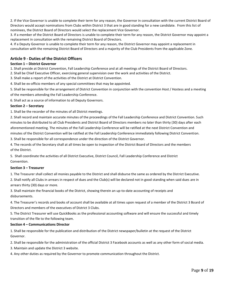2. If the Vice Governor is unable to complete their term for any reason, the Governor in consultation with the current District Board of Directors would accept nominations from Clubs within District 3 that are in good standing for a new candidate. From this list of nominees, the District Board of Directors would select the replacement Vice Governor.

3. If a member of the District Board of Directors is unable to complete their term for any reason, the District Governor may appoint a replacement in consultation with the remaining District Board of Directors.

4. If a Deputy Governor is unable to complete their term for any reason, the District Governor may appoint a replacement in consultation with the remaining District Board of Directors and a majority of the Club Presidents from the applicable Zone.

# **Article 9 - Duties of the District Officers**

### **Section 1 – District Governor**

1. Shall preside at District Convention, Fall Leadership Conference and at all meetings of the District Board of Directors.

2. Shall be Chief Executive Officer, exercising general supervision over the work and activities of the District.

3. Shall make a report of the activities of the District at District Convention.

4. Shall be ex-officio members of any special committees that may be appointed.

5. Shall be responsible for the arrangement of District Convention in conjunction with the convention Host / Hostess and a meeting of the members attending the Fall Leadership Conference.

6. Shall act as a source of information to all Deputy Governors.

# **Section 2 – Secretary**

1. Shall be the recorder of the minutes of all District meetings.

2. Shall record and maintain accurate minutes of the proceedings of the Fall Leadership Conference and District Convention. Such minutes to be distributed to all Club Presidents and District Board of Directors members no later than thirty (30) days after each aforementioned meeting. The minutes of the Fall Leadership Conference will be ratified at the next District Convention and minutes of the District Convention will be ratified at the Fall Leadership Conference immediately following District Convention.

3. Shall be responsible for all correspondence under the direction of the District Governor.

4. The records of the Secretary shall at all times be open to inspection of the District Board of Directors and the members of the District.

5. Shall coordinate the activities of all District Executive, District Council, Fall Leadership Conference and District Convention.

#### **Section 3 – Treasurer**

1. The Treasurer shall collect all monies payable to the District and shall disburse the same as ordered by the District Executive.

2. Shall notify all Clubs in arrears in respect of dues and the Club(s) will be declared not in good standing when said dues are in arrears thirty (30) days or more.

3. Shall maintain the financial books of the District, showing therein an up-to-date accounting of receipts and disbursements.

4. The Treasurer's records and books of account shall be available at all times upon request of a member of the District 3 Board of Directors and members of the executives of District 3 Clubs.

5. The District Treasurer will use QuickBooks as the professional accounting software and will ensure the successful and timely transition of the file to the following team.

#### **Section 4 – Communications Director**

1. Shall be responsible for the publication and distribution of the District newspaper/bulletin at the request of the District Governor.

2. Shall be responsible for the administration of the official District 3 Facebook accounts as well as any other form of social media.

3. Maintain and update the District 3 website.

4. Any other duties as required by the Governor to promote communication throughout the District.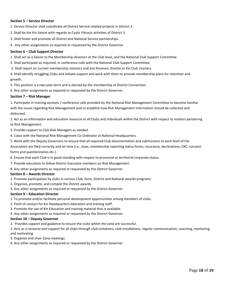#### **Section 5 – Service Director**

1. Service Director shall coordinate all District Service-related projects in District 3.

2. Shall be the Kin liaison with regards to Cystic Fibrosis activities of District 3.

- 3. Shall foster and promote all District and National Service partnerships.
- 4. Any other assignments as required or requested by the District Governor

#### **Section 6 – Club Support Director**

1. Shall act as a liaison to the Membership directors at the Club level, and the National Club Support Committee.

- 2. Shall participate as required, in conference calls with the National Club Support Committee.
- 3. Shall report on current membership statistics and any Kinsmen, Kinette or Kin Club charters.

4. Shall identify struggling Clubs and initiate support and work with them to provide membership plans for retention and growth.

5. This position is a two-year term and is elected by the membership at District Convention.

6. Any other assignments as required or requested by the District Governor.

#### **Section 7 – Risk Manager**

1. Participate in training sessions / conference calls provided by the National Risk Management Committee to become familiar with the issues regarding Risk Management and to establish how Risk Management information should be collected and disbursed.

2. Act as an information and education resource to all Clubs and individuals within the District with respect to matters pertaining to Risk Management.

3. Provide support to Club Risk Managers as needed.

- 4. Liaise with the National Risk Management Co-Ordinator at National Headquarters.
- 5. Work with the Deputy Governors to ensure that all required Club documentation and submissions to each level of the

Association are filed correctly and on time (i.e., dues, membership reporting status forms, insurance, declarations, CRC, consent forms and questionnaires etc.).

- 6. Ensure that each Club is in good standing with respect to provincial or territorial corporate status.
- 7. Provide education to fellow District Executive members on Risk Management.
- 8. Any other assignments as required or requested by the District Governor.

#### **Section 8 – Awards Director**

- 1. Promote participation by clubs in various Club, Zone, District and National awards programs.
- 2. Organize, promote, and compile the District awards.
- 3. Any other assignments as required or requested by the District Governor.

#### **Section 9 – Education Director**

- 1. To promote and/or facilitate personal development opportunities among members of clubs.
- 2. Point of contact for Kin Headquarters education and training staff.
- 3. Promote the use of Kin Education and training material that is available.
- 4. Any other assignments as required or requested by the District Governor.

#### **Section 10 – Deputy Governor**

1. Provides support and guidance to ensure the clubs within the zone are successful.

2. Acts as a recourse and support for all clubs through club visitations, club installations, regular communication, coaching, mentoring, and motivating.

- 3. Organize and chair Zone meetings.
- 4. Any other assignments as required or requested by the District Governor.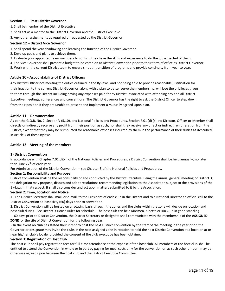#### **Section 11 – Past District Governor**

- 1. Shall be member of the District Executive.
- 2. Shall act as a mentor to the District Governor and the District Executive
- 3. Any other assignments as required or requested by the District Governor.

#### **Section 12 – District Vice Governor**

- 1. Shall spend the year shadowing and learning the function of the District Governor.
- 2. Develop goals and plans to achieve them.
- 3. Evaluate your appointed team members to confirm they have the skills and experience to do the job expected of them.
- 4. The Vice Governor shall present a budget to be voted on at District Convention prior to their term of office as District Governor.
- 5. Work with the current District team to ensure smooth transition of programs and provide continuity from year to year.

#### **Article 10 - Accountability of District Officers**

Any District Officer not meeting the duties outlined in the By-laws, and not being able to provide reasonable justification for their inaction to the current District Governor, along with a plan to better serve the membership, will lose the privileges given to them through the District including having any expenses paid for by District, associated with attending any and all District Executive meetings, conferences and conventions. The District Governor has the right to ask the District Officer to step down from their position if they are unable to present and implement a mutually agreed upon plan.

#### **Article 11 – Remuneration**

As per the G.O.B. No. 2, Section V (5.10), and National Policies and Procedures, Section 7.01 (d) (x), no Director, Officer or Member shall directly or indirectly receive any profit from their position as such, nor shall they receive any direct or indirect remuneration from the District, except that they may be reimbursed for reasonable expenses incurred by them in the performance of their duties as described in Article 7 of these Bylaws.

#### **Article 12 - Meeting of the members**

#### **1) District Convention**

In accordance with Chapter 7.01(d)(xi) of the National Policies and Procedures, a District Convention shall be held annually, no later than June  $27<sup>th</sup>$  of each year.

For Administration of the District Convention – see Chapter 3 of the National Policies and Procedures.

#### **Section 1: Responsibility and Purpose**

District Convention shall be the responsibility of and conducted by the District Executive. Being the annual general meeting of District 3, the delegation may propose, discuss and adopt resolutions recommending legislation to the Association subject to the provisions of the By-laws in that respect. It shall also consider and act upon matters submitted to it by the Association.

#### **Section 2: Time, Location and Notice**

1. The District Secretary shall mail, or e-mail, to the President of each club in the District and to a National Director an official call to the District Convention at least sixty (60) days prior to convention.

2. District Convention will be hosted on a rotating basis through the zones and the clubs within the zone will decide on location and host club duties. See District 3 House Rules for schedule. The host club can be a Kinsmen, Kinette or Kin Club in good standing.

 - 60 days prior to District Convention, the District Secretary or designate shall communicate with the membership of the **ASSIGNED ZONE** for the site of District Convention for the following year.

- In the event no club has stated their intent to host the next District Convention by the start of the meeting in the year prior, the Governor or designate may invite the clubs in the next assigned zone in rotation to hold the next District Convention at a location at or near his/her club's locale, provided the consent of the club executive has been obtained.

#### **Section 3: Registration of Host Club**

The host club shall pay registration fees for full-time attendance at the expense of the host club. All members of the host club shall be entitled to attend the Convention in whole or in part by paying for meal costs only for the convention on as such other amount may be otherwise agreed upon between the host club and the District Executive Committee.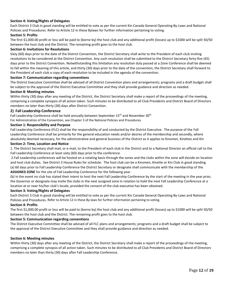# **Section 4: Voting/Rights of Delegates**

Each District 3 Club in good standing will be entitled to vote as per the current Kin Canada General Operating By-Laws and National Policies and Procedures. Refer to Article 12 in these Bylaws for further information pertaining to voting.

#### **Section 5: Profits**

The first \$1,000.00 profit or loss will be paid to (borne by) the host club and any additional profit (losses) up to \$1000 will be split 50/50 between the host club and the District. The remaining profit goes to the host club.

#### **Section 6: Invitations for Resolutions**

Sixty (60) days prior to the date of the District Convention, the District Secretary shall write to the President of each club inviting resolutions to be considered at the District Convention. Any such resolution shall be submitted to the District Secretary forty-five (45) days prior to the District Convention. Notwithstanding this limitation any resolution duly passed at a Zone Conference shall be deemed to fall within the meaning of this article, and thirty (30) days prior to the date of the convention, the District Secretary shall forward to the President of each club a copy of each resolution to be included in the agenda of the convention.

#### **Section 7: Communication regarding conventions**

The District Executive Committee shall be advised of all District Convention plans and arrangements; programs and a draft budget shall be subject to the approval of the District Executive Committee and they shall provide guidance and direction as needed.

#### **Section 8: Meeting minutes**

Within thirty (30) days after any meeting of the District, the District Secretary shall make a report of the proceedings of the meeting, comprising a complete synopsis of all action taken. Such minutes to be distributed to all Club Presidents and District Board of Directors members no later than thirty (30) days after District Convention.

#### **2) Fall Leadership Conference**

Fall Leadership Conference shall be held annually between September 15<sup>th</sup> and November 30<sup>th</sup>

For Administration of the Convention, see Chapter 3 of the National Policies and Procedures.

#### **Section 1: Responsibility and Purpose**

Fall Leadership Conference (FLC) shall be the responsibility of and conducted by the District Executive. The purpose of the Fall Leadership Conference shall be primarily for the general education needs and/or desires of the membership and secondly, where absolutely deemed necessary, for the administrative and general business of the District as it applies to Kinsmen, Kinettes and Kin

#### **Section 2: Time, Location and Notice**

1. The District Secretary shall mail, or e-mail, to the President of each club in the District and to a National Director an official call to the Fall Leadership Conference at least sixty (60) days prior to the conference.

2.Fall Leadership conferences will be hosted on a rotating basis through the zones and the clubs within the zone will decide on location and host club duties. See District 3 House Rules for schedule. The host club can be a Kinsmen, Kinette or Kin Club in good standing. (a) 60 days prior to Fall Leadership Conference the District Secretary or designate shall communicate with the membership of the **ASSIGNED ZONE** for the site of Fall Leadership Conference for the following year.

(b) In the event no club has stated their intent to host the next Fall Leadership Conference by the start of the meeting in the year prior, the Governor or designate may invite the clubs in the next assigned zone in rotation to hold the next Fall Leadership Conference at a location at or near his/her club's locale, provided the consent of the club executive has been obtained.

#### **Section 3: Voting/Rights of Delegates**

Each District 3 Club in good standing will be entitled to vote as per the current Kin Canada General Operating By-Laws and National Policies and Procedures. Refer to Article 12 in these By-laws for further information pertaining to voting.

#### **Section 4: Profits**

The first \$1,000.00 profit or loss will be paid to (borne by) the host club and any additional profit (losses) up to \$1000 will be split 50/50 between the host club and the District. The remaining profit goes to the host club.

#### **Section 5: Communication regarding conventions**

The District Executive Committee shall be advised of all FLC plans and arrangements; programs and a draft budget shall be subject to the approval of the District Executive Committee and they shall provide guidance and direction as needed.

#### **Section 6: Meeting minutes**

Within thirty (30) days after any meeting of the District, the District Secretary shall make a report of the proceedings of the meeting, comprising a complete synopsis of all action taken. Such minutes to be distributed to all Club Presidents and District Board of Directors members no later than thirty (30) days after Fall Leadership Conference.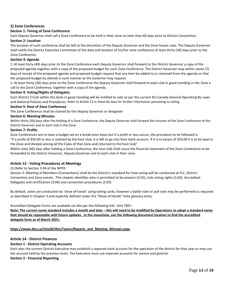# **3) Zone Conferences**

# **Section 1: Timing of Zone Conference**

Each Deputy Governor shall call a Zone Conference to be held in their zone no later than 60 days prior to District Convention.

# **Section 2: Location**

The location of such conference shall be left to the discretion of the Deputy Governor and the Zone house rules. The Deputy Governor shall notify the District Executive Committee of the date and location of his/her zone conference at least thirty (30) days prior to the Zone Conference.

### **Section 3: Agenda**

1. At least forty (40) days prior to the Zone Conference each Deputy Governor shall forward to the District Governor a copy of the proposed agenda together with a copy of the proposed budget for such Zone Conference. The District Governor may within seven (7) days of receipt of the proposed agenda and proposed budget request that any item be added to or removed from the agenda or that the proposed budget by altered in such manner as the Governor may request.

2. At least thirty (30) days prior to the Zone Conference the Deputy Governor shall forward to each club in good standing in the Zone a call to the Zone Conference, together with a copy of the agenda.

#### **Section 4: Voting/Rights of Delegates**

Each District 3 Club within the Zone in good standing will be entitled to vote as per the current Kin Canada General Operating By-Laws and National Policies and Procedures. Refer to Article 12 in these By-laws for further information pertaining to voting.

### **Section 5: Host of Zone Conference**

The Zone Conference shall be chaired by the Deputy Governor or designate

# **Section 6: Meeting Minutes**

Within thirty (30) days after the holding of a Zone Conference, the Deputy Governor shall forward the minutes of the Zone Conference to the District Governor and to each club in the Zone.

#### **Section 7: Profits**

Zone Conferences are to have a budget set on a break-even basis but if a profit or loss occurs, the procedure to be followed is: "If a profit of \$50.00 or less is realized by the host club, it is left to go into their bank account. If it is in excess of \$50.00 it is to be kept in

the Zone and divided among all the Clubs of that Zone and returned to the host club".

Within sixty (60) days after holding a Zone Conference, the host club shall cause the financial statement of the Zone Conference to be forwarded to the District Governor, Deputy Governor and to each club in their zone.

# **Article 13 - Voting Procedures at Meetings**

#### (1) Refer to Section 3.04 of the NPPA

Section 3: Meeting of Members (Conventions) shall be the District's standard for how voting will be conducted at FLC, District Convention and Zone events. This chapter identifies who is permitted to be present (3.02), club voting rights (3.03), Accredited Delegates and certification (3.04) and convention procedures (3.05).

By default, votes are conducted via 'show of hands' using voting cards, however a ballot vote or poll vote may be performed as required as described in Chapter 3 and explicitly defined under the "Show of Hands" Vote glossary entry.

Accredited Delegate Forms are available via iKin per the following link: <link TBD>

**Note: The current name standard includes a month and date – this will need to be modified by Operations to adopt a standard name that should be repeatable with future updates. In the meantime, use the following document location to find the accredited delegate form as of March 2021:**

# **[https://www.ikin.ca/imis20/iKin/Teams/Reports\\_and\\_Meeting\\_Minutes.aspx](https://www.ikin.ca/imis20/iKin/Teams/Reports_and_Meeting_Minutes.aspx)**

#### **Article 14 - District Finances**

# **Section 1 - District Operating Accounts**

Each year the current District Executive may establish a separate bank account for the operation of the district for that year or may use the account held by the previous team. The Executive must use separate accounts for service and general.

#### **Section 2 - Financial Reporting**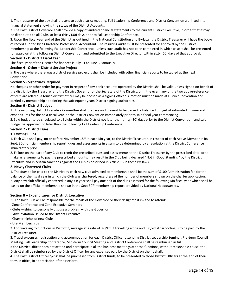1. The treasurer of the day shall present to each district meeting, Fall Leadership Conference and District Convention a printed interim financial statement showing the status of the District Accounts.

2. The Past District Governor shall provide a copy of audited financial statements to the current District Executive, in order that it may be distributed to all Clubs, at least thirty (30) days prior to Fall Leadership Conference.

3. Upon the fiscal year end of the District as outlined in the National Constitution and By-laws, the District Treasurer will have the books of record audited by a Chartered Professional Accountant. The resulting audit must be presented for approval by the District membership at the following Fall Leadership Conference, unless such audit has not been completed in which case it shall be presented for approval at the following District Convention and submitted to the Executive Director within sixty (60) days of that approval.

### **Section 3 - District 3 Fiscal Year**

The fiscal year of the District for finances is July 01 to June 30 annually.

# **Section 4 - Other – District Service Project**

In the case where there was a district service project it shall be included with other financial reports to be tabled at the next Convention.

# **Section 5 - Signatures Required**

No cheques or other order for payment in respect of any bank accounts operated by the District shall be valid unless signed on behalf of the district by the Treasurer and the District Governor or the Secretary of the District, or in the event any of the two above-reference officers are related, a fourth district officer may be chosen as a signing officer. A motion must be made at District Convention and carried by membership appointing the subsequent years District signing authorities.

#### **Section 6 - District Budget**

1. The incoming District Executive Committee shall prepare and present to be passed, a balanced budget of estimated income and expenditures for the next fiscal year, at the District Convention immediately prior to said fiscal year commencing.

2. Said budget to be circulated to all clubs within the District not later than thirty (30) days prior to the District Convention, and said budget be approved no later than the following Fall Leadership Conference.

# **Section 7 - District Dues**

# **1. Existing Clubs**

1. Each Club shall pay, on or before November 15<sup>th</sup> in each Kin year, to the District Treasurer, in respect of each Active Member in its Sept. 30th official membership report, dues and assessments in a sum to be determined by a resolution at the District Conference immediately prior.

2. Failure on the part of any Club to remit the prescribed dues and assessments to the District Treasurer by the prescribed date, or to make arrangements to pay the prescribed amounts, may result in the Club being declared "Not in Good Standing" by the District Executive and in certain sanctions against the Club as described in Article 15 in these By-laws.

# **2. Newly Chartered Clubs**

1. The dues to be paid to the District by each new club admitted to membership shall be the sum of \$100 Administration fee for the balance of the fiscal year in which the Club was chartered, regardless of the number of members shown on the charter application. 2. Any new club officially chartered in any Kin year shall pay one half of the dues assessed for the following Kin fiscal year which shall be based on the official membership shown in the Sept 30<sup>th</sup> membership report provided by National Headquarters.

#### **Section 8 – Expenditures for District Executive**

1. The host Club will be responsible for the meals of the Governor or their designate if invited to attend:

- Zone Conference and Zone Executive Seminars
- Clubs wishing to personally discuss a problem with the Governor
- Any invitation issued to the District Executive
- Charter nights of new Clubs
- Life Memberships

2. For traveling to functions in District 3, mileage at a rate of .40/km if travelling alone and .50/km if carpooling is to be paid by the District Treasurer.

3. Travel expenses, registration and accommodation for each District Officer attending District Leadership Seminar, Pre-term Council Meeting, Fall Leadership Conference, Mid-term Council Meeting and District Conference shall be reimbursed in full.

If the District Officer does not attend and participate in all the business meetings at these functions, without reasonable cause, the District shall be reimbursed by the District Officer for any expenses paid by the District on their behalf.

4. The Past District Officer 'pins' shall be purchased from District funds, to be presented to those District Officers at the end of their term in office, in appreciation of their efforts.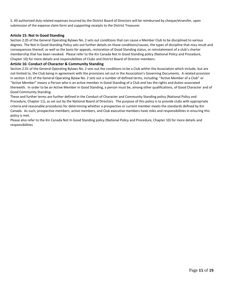5. All authorized duly related expenses incurred by the District Board of Directors will be reimbursed by cheque/etransfer, upon submission of the expense claim form and supporting receipts to the District Treasurer.

# **Article 15: Not In Good Standing**

Section 2.05 of the General Operating Bylaws No. 2 sets out conditions that can cause a Member Club to be disciplined to various degrees. The Not In Good Standing Policy sets out further details on those conditions/causes, the types of discipline that may result and consequences thereof, as well as the basis for appeals, restoration of Good Standing status, or reinstatement of a club's charter membership that has been revoked. Please refer to the Kin Canada Not In Good Standing policy (National Policy and Procedure, Chapter 10) for more details and responsibilities of Clubs and District Board of Director members.

### **Article 16: Conduct of Character & Community Standing**

Section 2.01 of the General Operating Bylaws No. 2 sets out the conditions to be a Club within the Association which include, but are not limited to, the Club being in agreement with the provisions set out in the Association's Governing Documents. A related provision in section 1.01 of the General Operating Bylaw No. 2 sets out a number of defined terms, including: "Active Member of a Club" or "Active Member" means a Person who is an active member in Good Standing of a Club and has the rights and duties associated therewith. In order to be an Active Member in Good Standing, a person must be, among other qualifications, of Good Character and of Good Community Standing.

These and further terms are further defined in the Conduct of Character and Community Standing policy (National Policy and Procedure, Chapter 11), as set out by the National Board of Directors. The purpose of this policy is to provide clubs with appropriate criteria and reasonable procedures for determining whether a prospective or current member meets the standards defined by Kin Canada. As such, prospective members, active members, and Club executive members have roles and responsibilities in ensuring this policy is met.

Please also refer to the Kin Canada Not In Good Standing policy (National Policy and Procedure, Chapter 10) for more details and responsibilities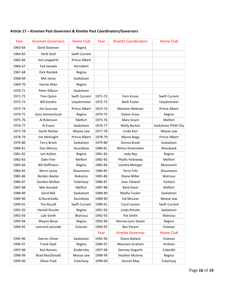| Year    | <b>Kinsmen Governors</b> | <b>Home Club</b>     | Year    | <b>Kinette Coordinators</b> | <b>Home Club</b>     |
|---------|--------------------------|----------------------|---------|-----------------------------|----------------------|
| 1963-64 | Gord Staseson            | Regina               |         |                             |                      |
| 1964-65 | Herb Stoll               | Swift Current        |         |                             |                      |
| 1965-66 | Val Longwirth            | Prince Albert        |         |                             |                      |
| 1966-67 | <b>Ted Sample</b>        | Kerrobert            |         |                             |                      |
| 1967-68 | Dick Randek              | Regina               |         |                             |                      |
| 1968-69 | Mel Jones                | Saskatoon            |         |                             |                      |
| 1969-70 | Harvie Allan             | Regina               |         |                             |                      |
| 1970-71 | Peter Kilburn            | Saskatoon            |         |                             |                      |
| 1971-72 | <b>Trev Quinn</b>        | Swift Current        | 1971-72 | Fern Kruse                  | Swift Current        |
| 1972-73 | <b>Bill Kondro</b>       | Lloydminster         | 1972-73 | <b>Barb Foster</b>          | Lloydminster         |
| 1973-74 | Jim Scarrow              | <b>Prince Albert</b> | 1973-74 | Marlene Webster             | <b>Prince Albert</b> |
| 1974-75 | Gary Semenchuck          | Regina               | 1974-75 | <b>Elaine Grass</b>         | Regina               |
| 1975-76 | Al Robinson              | Melfort              | 1975-76 | Mary Grant                  | Melfort              |
| 1976-77 | Al Evans                 | Saskatoon            | 1976-77 | Molly Burton                | Saskatoon POW City   |
| 1977-78 | <b>Garth Rattee</b>      | Moose Jaw            | 1977-78 | Linda Kerr                  | Moose Jaw            |
| 1978-79 | Jim McKnight             | Prince Albert        | 1978-79 | Myrna Nagy                  | <b>Prince Albert</b> |
| 1979-80 | <b>Terry Brash</b>       | Saskatoon            | 1979-80 | Donna Brash                 | Saskatoon            |
| 1980-81 | Dan Mierau               | Assiniboia           | 1980-81 | Wilma Shoemaker             | Mossbank             |
| 1981-82 | Len Koltun               | Regina               | 1981-82 | Judy Ray                    | Regina               |
| 1982-83 | Dale Frier               | Melfort              | 1982-83 | Phyllis Holowaty            | Melfort              |
| 1983-84 | <b>Bill Hoffmann</b>     | Regina               | 1983-84 | Loretta Metzger             | Moosomin             |
| 1984-85 | Norm Lavoy               | Shaunavon            | 1984-85 | <b>Terry Fritz</b>          | Shaunavon            |
| 1985-86 | Borden Beeler            | Nokomis              | 1985-86 | Diane Miller                | Watrous              |
| 1986-87 | Gordon McNair            | Esterhazy            | 1986-87 | Joan Cleland                | Yorkton              |
| 1987-88 | Mel Annabd               | Melfort              | 1987-88 | <b>Barb Davis</b>           | Melfort              |
| 1988-89 | Gord Bell                | Saskatoon            | 1988-89 | Noella Tucker               | Saskatoon            |
| 1989-90 | Al Burechallo            | Assiniboia           | 1989-90 | Val McLean                  | Moose Jaw            |
| 1990-91 | <b>Tim Russill</b>       | Swift Current        | 1990-91 | Carol Lemon                 | Swift Current        |
| 1991-92 | Harold Rossler           | Regina               | 1991-92 | Linda Rossler               | Saskatoon            |
| 1992-93 | Lyle Smith               | Watrous              | 1992-93 | Pat Smith                   | Watrous              |
| 1993-94 | Wayne Borys              | Regina               | 1993-94 | Norma-Lynn Steain           | Regina               |
| 1994-95 | Leonard LaLonde          | Estevan              | 1994-95 | <b>Bev Parent</b>           | Estevan              |
|         |                          |                      | Year    | <b>Kinette Governor</b>     | <b>Home Club</b>     |
| 1995-96 | Darren Ulmer             | Saskatoon            | 1995-96 | Diane Ballard               | Estevan              |
| 1996-97 | Frank Dyck               | Regina               | 1996-97 | Maureen Graham              | Yorkton              |
| 1997-98 | Ken Rosnes               | Kindersley           | 1997-98 | Denney Hogarth              | Coleville            |
| 1998-99 | <b>Brad MacDonald</b>    | Moose Jaw            | 1998-99 | <b>Heather McInnis</b>      | Regina               |
| 1999-00 | Oliver Pask              | Esterhazy            | 1999-00 | Vonnie May                  | Esterhazy            |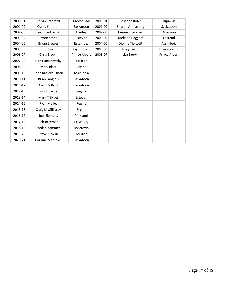| 2000-01 | Kelvin Bradford        | Moose Jaw            | 2000-01 | Rosanne Robin      | Nipawin              |
|---------|------------------------|----------------------|---------|--------------------|----------------------|
| 2001-02 | Curtis Kimpton         | Saskatoon            | 2001-02 | Sharon Armstrong   | Saskatoon            |
| 2002-03 | Ivan Stankowski        | Hanley               | 2002-03 | Tammy Blackwell    | Dinsmore             |
| 2003-04 | <b>Byron Stepp</b>     | Estevan              | 2003-04 | Melinda Haggart    | Eastend              |
| 2004-05 | <b>Bryan Brewer</b>    | Esterhazy            | 2004-05 | Dionne Tjeltveit   | Assiniboia           |
| 2005-06 | Jason Bacon            | Lloydminster         | 2005-06 | <b>Tracy Bacon</b> | Lloydminster         |
| 2006-07 | Chris Brown            | <b>Prince Albert</b> | 2006-07 | Lisa Brown         | <b>Prince Albert</b> |
| 2007-08 | Ron Hanishewsky        | Yorkton              |         |                    |                      |
| 2008-09 | Mark Blatz             | Regina               |         |                    |                      |
| 2009-10 | Corie Ruzicka-Olson    | Assiniboia           |         |                    |                      |
| 2010-11 | <b>Brian Langlois</b>  | Saskatoon            |         |                    |                      |
| 2011-12 | Colin Pollard          | Saskatoon            |         |                    |                      |
| 2012-13 | Sandi Barrie           | Regina               |         |                    |                      |
| 2013-14 | Mark Tribiger          | Estevan              |         |                    |                      |
| 2014-15 | <b>Ryan Malley</b>     | Regina               |         |                    |                      |
| 2015-16 | Craig McGillivray      | Regina               |         |                    |                      |
| 2016-17 | <b>Joel Siemens</b>    | Parkland             |         |                    |                      |
| 2017-18 | Rob Bateman            | POW City             |         |                    |                      |
| 2018-19 | Jordan Kammer          | Rosetown             |         |                    |                      |
| 2019-20 | Steve Kirwan           | Yorkton              |         |                    |                      |
| 2020-21 | <b>Corinne Mathews</b> | Saskatoon            |         |                    |                      |